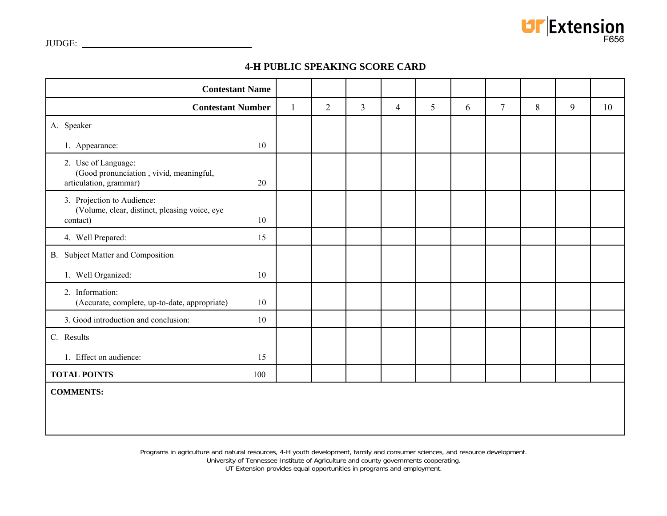

# **4-H PUBLIC SPEAKING SCORE CARD**

| <b>Contestant Name</b>                                                                         |              |                |   |                |   |   |                |   |   |    |
|------------------------------------------------------------------------------------------------|--------------|----------------|---|----------------|---|---|----------------|---|---|----|
| <b>Contestant Number</b>                                                                       | $\mathbf{1}$ | $\overline{2}$ | 3 | $\overline{4}$ | 5 | 6 | $\overline{7}$ | 8 | 9 | 10 |
| A. Speaker                                                                                     |              |                |   |                |   |   |                |   |   |    |
| 1. Appearance:<br>10                                                                           |              |                |   |                |   |   |                |   |   |    |
| 2. Use of Language:<br>(Good pronunciation, vivid, meaningful,<br>articulation, grammar)<br>20 |              |                |   |                |   |   |                |   |   |    |
| 3. Projection to Audience:<br>(Volume, clear, distinct, pleasing voice, eye<br>10<br>contact)  |              |                |   |                |   |   |                |   |   |    |
| 4. Well Prepared:<br>15                                                                        |              |                |   |                |   |   |                |   |   |    |
| B. Subject Matter and Composition                                                              |              |                |   |                |   |   |                |   |   |    |
| 1. Well Organized:<br>10                                                                       |              |                |   |                |   |   |                |   |   |    |
| 2. Information:<br>(Accurate, complete, up-to-date, appropriate)<br>10                         |              |                |   |                |   |   |                |   |   |    |
| 3. Good introduction and conclusion:<br>10                                                     |              |                |   |                |   |   |                |   |   |    |
| C. Results                                                                                     |              |                |   |                |   |   |                |   |   |    |
| 1. Effect on audience:<br>15                                                                   |              |                |   |                |   |   |                |   |   |    |
| <b>TOTAL POINTS</b><br>100                                                                     |              |                |   |                |   |   |                |   |   |    |
| <b>COMMENTS:</b>                                                                               |              |                |   |                |   |   |                |   |   |    |

Programs in agriculture and natural resources, 4-H youth development, family and consumer sciences, and resource development.

University of Tennessee Institute of Agriculture and county governments cooperating.

UT Extension provides equal opportunities in programs and employment.